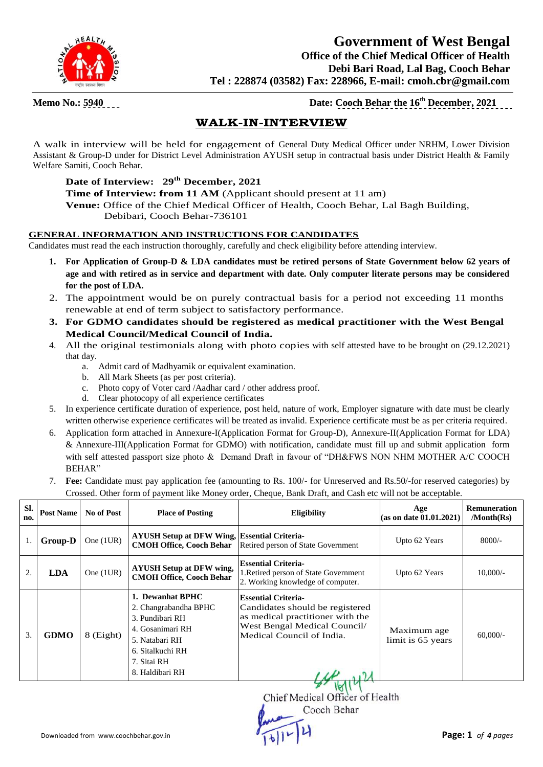

### **Government of West Bengal Office of the Chief Medical Officer of Health Debi Bari Road, Lal Bag, Cooch Behar Tel : 228874 (03582) Fax: 228966, E-mail: cmoh.cbr@gmail.com**

**Memo No.:**  $\frac{5940}{2021}$  **Date: Cooch Behar the 16<sup>th</sup> December, 2021** 

### **WALK-IN-INTERVIEW**

A walk in interview will be held for engagement of General Duty Medical Officer under NRHM, Lower Division Assistant & Group-D under for District Level Administration AYUSH setup in contractual basis under District Health & Family Welfare Samiti, Cooch Behar.

#### **Date of Interview: 29th December, 2021**

**Time of Interview: from 11 AM** (Applicant should present at 11 am)

**Venue:** Office of the Chief Medical Officer of Health, Cooch Behar, Lal Bagh Building, Debibari, Cooch Behar-736101

#### **GENERAL INFORMATION AND INSTRUCTIONS FOR CANDIDATES**

Candidates must read the each instruction thoroughly, carefully and check eligibility before attending interview.

- **1. For Application of Group-D & LDA candidates must be retired persons of State Government below 62 years of age and with retired as in service and department with date. Only computer literate persons may be considered for the post of LDA.**
- 2. The appointment would be on purely contractual basis for a period not exceeding 11 months renewable at end of term subject to satisfactory performance.
- **3. For GDMO candidates should be registered as medical practitioner with the West Bengal Medical Council/Medical Council of India.**
- 4. All the original testimonials along with photo copies with self attested have to be brought on (29.12.2021) that day.
	- a. Admit card of Madhyamik or equivalent examination.
	- b. All Mark Sheets (as per post criteria).
	- c. Photo copy of Voter card /Aadhar card / other address proof.
	- d. Clear photocopy of all experience certificates
- 5. In experience certificate duration of experience, post held, nature of work, Employer signature with date must be clearly written otherwise experience certificates will be treated as invalid. Experience certificate must be as per criteria required.
- 6. Application form attached in Annexure-I(Application Format for Group-D), Annexure-II(Application Format for LDA) & Annexure-III(Application Format for GDMO) with notification, candidate must fill up and submit application form with self attested passport size photo & Demand Draft in favour of "DH&FWS NON NHM MOTHER A/C COOCH BEHAR"
- 7. **Fee:** Candidate must pay application fee (amounting to Rs. 100/- for Unreserved and Rs.50/-for reserved categories) by Crossed. Other form of payment like Money order, Cheque, Bank Draft, and Cash etc will not be acceptable.

| SI.<br>no. | <b>Post Name</b> | No of Post  | <b>Place of Posting</b>                                                                                                                                  | <b>Eligibility</b>                                                                                                                                             | Age<br>$\alpha$ (as on date 01.01.2021) | <b>Remuneration</b><br>/Month(Rs) |
|------------|------------------|-------------|----------------------------------------------------------------------------------------------------------------------------------------------------------|----------------------------------------------------------------------------------------------------------------------------------------------------------------|-----------------------------------------|-----------------------------------|
|            | <b>Group-D</b>   | One $(1UR)$ | <b>AYUSH Setup at DFW Wing, Essential Criteria-</b><br><b>CMOH Office, Cooch Behar</b>                                                                   | Retired person of State Government                                                                                                                             | Upto 62 Years                           | $8000/-$                          |
| 2.         | <b>LDA</b>       | One $(1UR)$ | <b>AYUSH Setup at DFW wing,</b><br><b>CMOH Office, Cooch Behar</b>                                                                                       | <b>Essential Criteria-</b><br>1. Retired person of State Government<br>2. Working knowledge of computer.                                                       | Upto 62 Years                           | $10,000/-$                        |
| 3.         | <b>GDMO</b>      | $8$ (Eight) | 1. Dewanhat BPHC<br>2. Changrabandha BPHC<br>3. Pundibari RH<br>4. Gosanimari RH<br>5. Natabari RH<br>6. Sitalkuchi RH<br>7. Sitai RH<br>8. Haldibari RH | <b>Essential Criteria-</b><br>Candidates should be registered<br>as medical practitioner with the<br>West Bengal Medical Council/<br>Medical Council of India. | Maximum age<br>limit is 65 years        | $60,000/-$                        |

 $3.1811$ Chief Medical Officer of Health Cooch Behar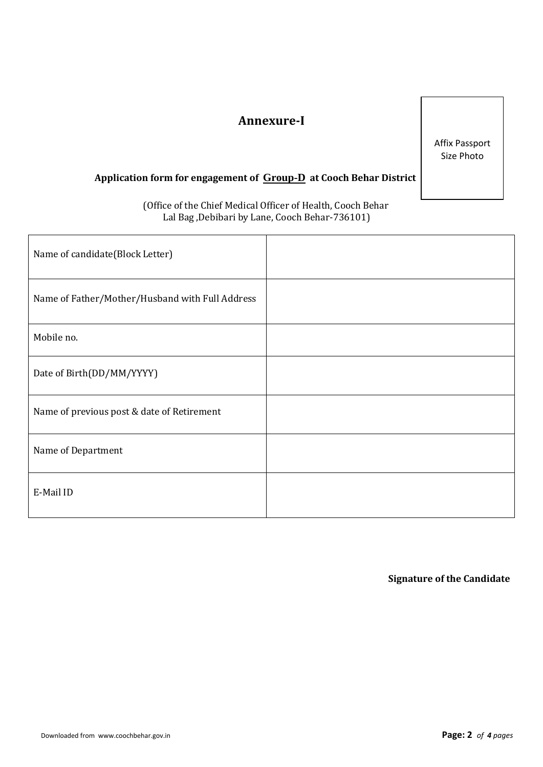## **Annexure-I**

Affix Passport Size Photo

### **Application form for engagement of Group-D at Cooch Behar District**

 (Office of the Chief Medical Officer of Health, Cooch Behar Lal Bag ,Debibari by Lane, Cooch Behar-736101)

| Name of candidate(Block Letter)                 |  |
|-------------------------------------------------|--|
| Name of Father/Mother/Husband with Full Address |  |
| Mobile no.                                      |  |
| Date of Birth(DD/MM/YYYY)                       |  |
| Name of previous post & date of Retirement      |  |
| Name of Department                              |  |
| E-Mail ID                                       |  |

**Signature of the Candidate**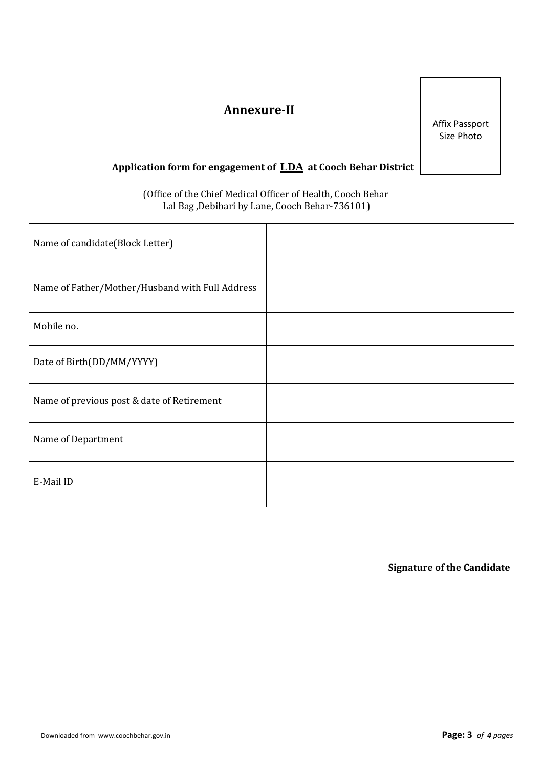# **Annexure-II**

Affix Passport Size Photo

### **Application form for engagement of LDA at Cooch Behar District**

 (Office of the Chief Medical Officer of Health, Cooch Behar Lal Bag ,Debibari by Lane, Cooch Behar-736101)

| Name of candidate(Block Letter)                 |  |
|-------------------------------------------------|--|
| Name of Father/Mother/Husband with Full Address |  |
| Mobile no.                                      |  |
| Date of Birth(DD/MM/YYYY)                       |  |
| Name of previous post & date of Retirement      |  |
| Name of Department                              |  |
| E-Mail ID                                       |  |

**Signature of the Candidate**